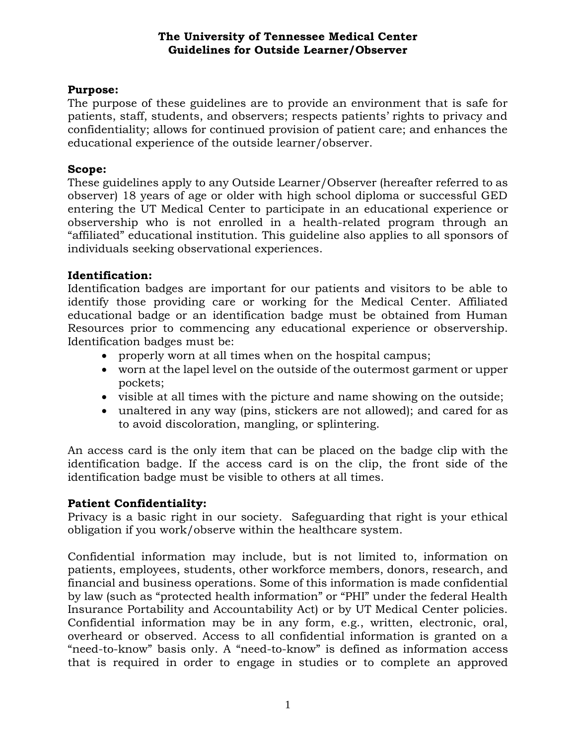# **Purpose:**

The purpose of these guidelines are to provide an environment that is safe for patients, staff, students, and observers; respects patients' rights to privacy and confidentiality; allows for continued provision of patient care; and enhances the educational experience of the outside learner/observer.

## **Scope:**

These guidelines apply to any Outside Learner/Observer (hereafter referred to as observer) 18 years of age or older with high school diploma or successful GED entering the UT Medical Center to participate in an educational experience or observership who is not enrolled in a health-related program through an "affiliated" educational institution. This guideline also applies to all sponsors of individuals seeking observational experiences.

# **Identification:**

Identification badges are important for our patients and visitors to be able to identify those providing care or working for the Medical Center. Affiliated educational badge or an identification badge must be obtained from Human Resources prior to commencing any educational experience or observership. Identification badges must be:

- properly worn at all times when on the hospital campus;
- worn at the lapel level on the outside of the outermost garment or upper pockets;
- visible at all times with the picture and name showing on the outside;
- unaltered in any way (pins, stickers are not allowed); and cared for as to avoid discoloration, mangling, or splintering.

An access card is the only item that can be placed on the badge clip with the identification badge. If the access card is on the clip, the front side of the identification badge must be visible to others at all times.

# **Patient Confidentiality:**

Privacy is a basic right in our society. Safeguarding that right is your ethical obligation if you work/observe within the healthcare system.

Confidential information may include, but is not limited to, information on patients, employees, students, other workforce members, donors, research, and financial and business operations. Some of this information is made confidential by law (such as "protected health information" or "PHI" under the federal Health Insurance Portability and Accountability Act) or by UT Medical Center policies. Confidential information may be in any form, e.g., written, electronic, oral, overheard or observed. Access to all confidential information is granted on a "need-to-know" basis only. A "need-to-know" is defined as information access that is required in order to engage in studies or to complete an approved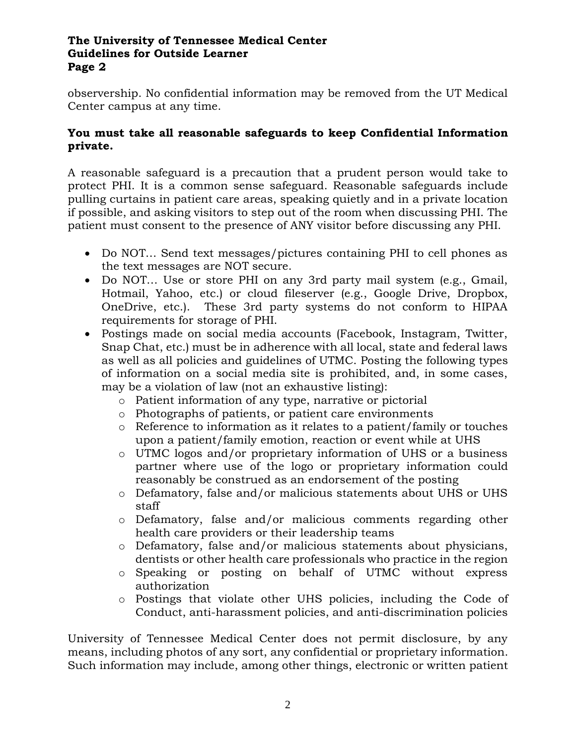observership. No confidential information may be removed from the UT Medical Center campus at any time.

# **You must take all reasonable safeguards to keep Confidential Information private.**

A reasonable safeguard is a precaution that a prudent person would take to protect PHI. It is a common sense safeguard. Reasonable safeguards include pulling curtains in patient care areas, speaking quietly and in a private location if possible, and asking visitors to step out of the room when discussing PHI. The patient must consent to the presence of ANY visitor before discussing any PHI.

- Do NOT... Send text messages/pictures containing PHI to cell phones as the text messages are NOT secure.
- Do NOT… Use or store PHI on any 3rd party mail system (e.g., Gmail, Hotmail, Yahoo, etc.) or cloud fileserver (e.g., Google Drive, Dropbox, OneDrive, etc.). These 3rd party systems do not conform to HIPAA requirements for storage of PHI.
- Postings made on social media accounts (Facebook, Instagram, Twitter, Snap Chat, etc.) must be in adherence with all local, state and federal laws as well as all policies and guidelines of UTMC. Posting the following types of information on a social media site is prohibited, and, in some cases, may be a violation of law (not an exhaustive listing):
	- o Patient information of any type, narrative or pictorial
	- o Photographs of patients, or patient care environments
	- o Reference to information as it relates to a patient/family or touches upon a patient/family emotion, reaction or event while at UHS
	- o UTMC logos and/or proprietary information of UHS or a business partner where use of the logo or proprietary information could reasonably be construed as an endorsement of the posting
	- o Defamatory, false and/or malicious statements about UHS or UHS staff
	- o Defamatory, false and/or malicious comments regarding other health care providers or their leadership teams
	- o Defamatory, false and/or malicious statements about physicians, dentists or other health care professionals who practice in the region
	- o Speaking or posting on behalf of UTMC without express authorization
	- o Postings that violate other UHS policies, including the Code of Conduct, anti-harassment policies, and anti-discrimination policies

University of Tennessee Medical Center does not permit disclosure, by any means, including photos of any sort, any confidential or proprietary information. Such information may include, among other things, electronic or written patient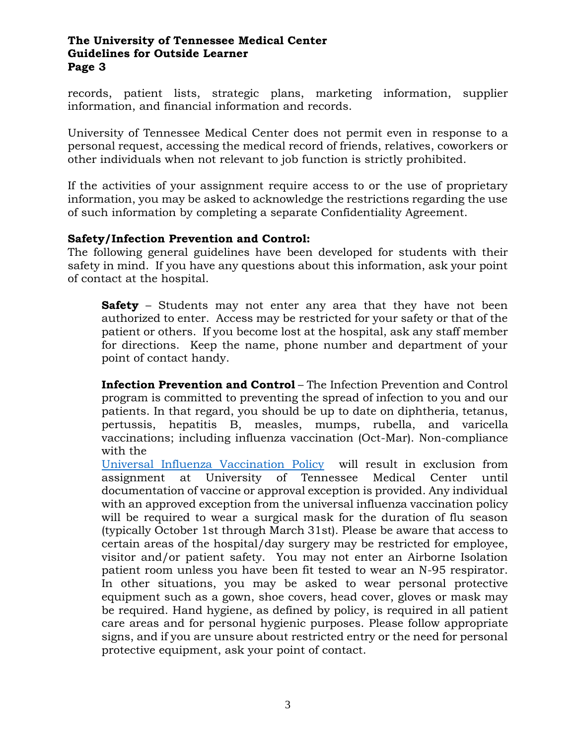records, patient lists, strategic plans, marketing information, supplier information, and financial information and records.

University of Tennessee Medical Center does not permit even in response to a personal request, accessing the medical record of friends, relatives, coworkers or other individuals when not relevant to job function is strictly prohibited.

If the activities of your assignment require access to or the use of proprietary information, you may be asked to acknowledge the restrictions regarding the use of such information by completing a separate Confidentiality Agreement.

# **Safety/Infection Prevention and Control:**

The following general guidelines have been developed for students with their safety in mind. If you have any questions about this information, ask your point of contact at the hospital.

**Safety** – Students may not enter any area that they have not been authorized to enter. Access may be restricted for your safety or that of the patient or others. If you become lost at the hospital, ask any staff member for directions. Keep the name, phone number and department of your point of contact handy.

**Infection Prevention and Control** – The Infection Prevention and Control program is committed to preventing the spread of infection to you and our patients. In that regard, you should be up to date on diphtheria, tetanus, pertussis, hepatitis B, measles, mumps, rubella, and varicella vaccinations; including influenza vaccination (Oct-Mar). Non-compliance with the

[Universal Influenza Vaccination Policy](http://insite.utmck.edu/policies-forms/950/universal-influenza-vaccination.html) will result in exclusion from assignment at University of Tennessee Medical Center until documentation of vaccine or approval exception is provided. Any individual with an approved exception from the universal influenza vaccination policy will be required to wear a surgical mask for the duration of flu season (typically October 1st through March 31st). Please be aware that access to certain areas of the hospital/day surgery may be restricted for employee, visitor and/or patient safety. You may not enter an Airborne Isolation patient room unless you have been fit tested to wear an N-95 respirator. In other situations, you may be asked to wear personal protective equipment such as a gown, shoe covers, head cover, gloves or mask may be required. Hand hygiene, as defined by policy, is required in all patient care areas and for personal hygienic purposes. Please follow appropriate signs, and if you are unsure about restricted entry or the need for personal protective equipment, ask your point of contact.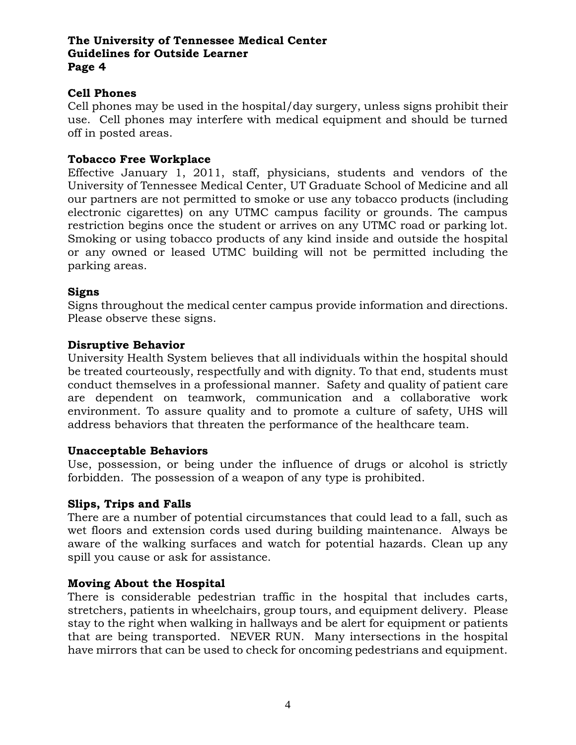### **Cell Phones**

Cell phones may be used in the hospital/day surgery, unless signs prohibit their use. Cell phones may interfere with medical equipment and should be turned off in posted areas.

#### **Tobacco Free Workplace**

Effective January 1, 2011, staff, physicians, students and vendors of the University of Tennessee Medical Center, UT Graduate School of Medicine and all our partners are not permitted to smoke or use any tobacco products (including electronic cigarettes) on any UTMC campus facility or grounds. The campus restriction begins once the student or arrives on any UTMC road or parking lot. Smoking or using tobacco products of any kind inside and outside the hospital or any owned or leased UTMC building will not be permitted including the parking areas.

### **Signs**

Signs throughout the medical center campus provide information and directions. Please observe these signs.

### **Disruptive Behavior**

University Health System believes that all individuals within the hospital should be treated courteously, respectfully and with dignity. To that end, students must conduct themselves in a professional manner. Safety and quality of patient care are dependent on teamwork, communication and a collaborative work environment. To assure quality and to promote a culture of safety, UHS will address behaviors that threaten the performance of the healthcare team.

### **Unacceptable Behaviors**

Use, possession, or being under the influence of drugs or alcohol is strictly forbidden. The possession of a weapon of any type is prohibited.

#### **Slips, Trips and Falls**

There are a number of potential circumstances that could lead to a fall, such as wet floors and extension cords used during building maintenance. Always be aware of the walking surfaces and watch for potential hazards. Clean up any spill you cause or ask for assistance.

# **Moving About the Hospital**

There is considerable pedestrian traffic in the hospital that includes carts, stretchers, patients in wheelchairs, group tours, and equipment delivery. Please stay to the right when walking in hallways and be alert for equipment or patients that are being transported. NEVER RUN. Many intersections in the hospital have mirrors that can be used to check for oncoming pedestrians and equipment.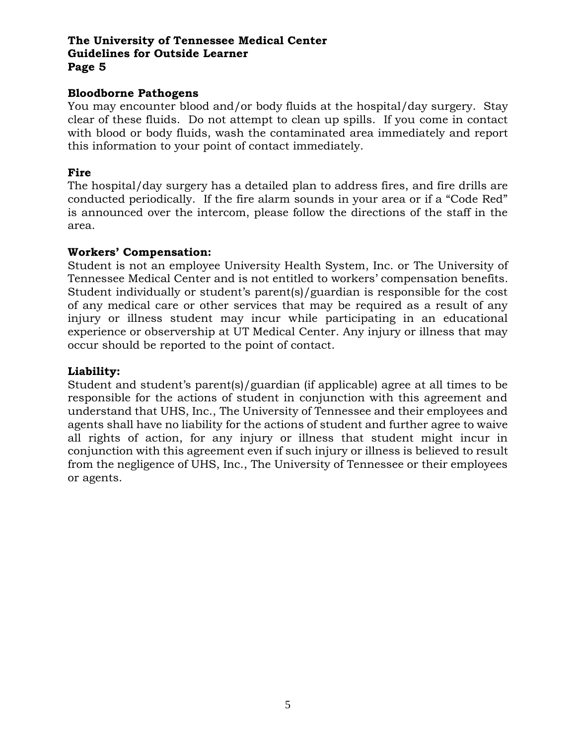### **Bloodborne Pathogens**

You may encounter blood and/or body fluids at the hospital/day surgery. Stay clear of these fluids. Do not attempt to clean up spills. If you come in contact with blood or body fluids, wash the contaminated area immediately and report this information to your point of contact immediately.

## **Fire**

The hospital/day surgery has a detailed plan to address fires, and fire drills are conducted periodically. If the fire alarm sounds in your area or if a "Code Red" is announced over the intercom, please follow the directions of the staff in the area.

### **Workers' Compensation:**

Student is not an employee University Health System, Inc. or The University of Tennessee Medical Center and is not entitled to workers' compensation benefits. Student individually or student's parent(s)/guardian is responsible for the cost of any medical care or other services that may be required as a result of any injury or illness student may incur while participating in an educational experience or observership at UT Medical Center. Any injury or illness that may occur should be reported to the point of contact.

## **Liability:**

Student and student's parent(s)/guardian (if applicable) agree at all times to be responsible for the actions of student in conjunction with this agreement and understand that UHS, Inc., The University of Tennessee and their employees and agents shall have no liability for the actions of student and further agree to waive all rights of action, for any injury or illness that student might incur in conjunction with this agreement even if such injury or illness is believed to result from the negligence of UHS, Inc., The University of Tennessee or their employees or agents.